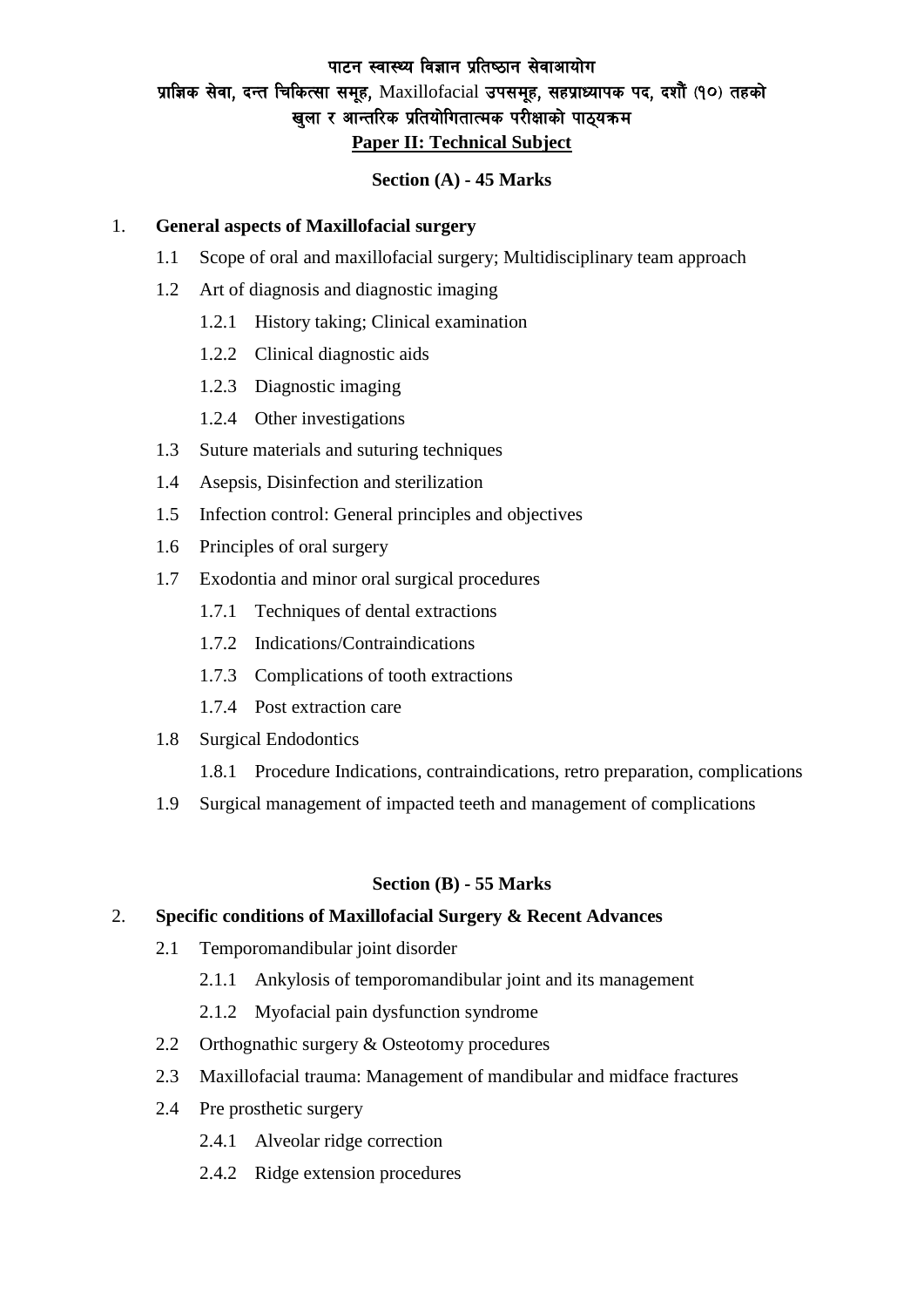# पाटन स्वास्थ्य विज्ञान प्रतिष्ठान सेवाआयोग प्राज्ञिक सेवा, दन्त चिकित्सा समूह, Maxillofacial उपसमूह, सहप्राध्यापक पद, दशौँ (१०) तहको खुला र आन्तरिक प्रतियोगितात्मक परीक्षाको पाठ्यक्रम **Paper II: Technical Subject**

#### **Section (A) - 45 Marks**

#### 1. **General aspects of Maxillofacial surgery**

- 1.1 Scope of oral and maxillofacial surgery; Multidisciplinary team approach
- 1.2 Art of diagnosis and diagnostic imaging
	- 1.2.1 History taking; Clinical examination
	- 1.2.2 Clinical diagnostic aids
	- 1.2.3 Diagnostic imaging
	- 1.2.4 Other investigations
- 1.3 Suture materials and suturing techniques
- 1.4 Asepsis, Disinfection and sterilization
- 1.5 Infection control: General principles and objectives
- 1.6 Principles of oral surgery
- 1.7 Exodontia and minor oral surgical procedures
	- 1.7.1 Techniques of dental extractions
	- 1.7.2 Indications/Contraindications
	- 1.7.3 Complications of tooth extractions
	- 1.7.4 Post extraction care
- 1.8 Surgical Endodontics
	- 1.8.1 Procedure Indications, contraindications, retro preparation, complications
- 1.9 Surgical management of impacted teeth and management of complications

#### **Section (B) - 55 Marks**

### 2. **Specific conditions of Maxillofacial Surgery & Recent Advances**

- 2.1 Temporomandibular joint disorder
	- 2.1.1 Ankylosis of temporomandibular joint and its management
	- 2.1.2 Myofacial pain dysfunction syndrome
- 2.2 Orthognathic surgery & Osteotomy procedures
- 2.3 Maxillofacial trauma: Management of mandibular and midface fractures
- 2.4 Pre prosthetic surgery
	- 2.4.1 Alveolar ridge correction
	- 2.4.2 Ridge extension procedures